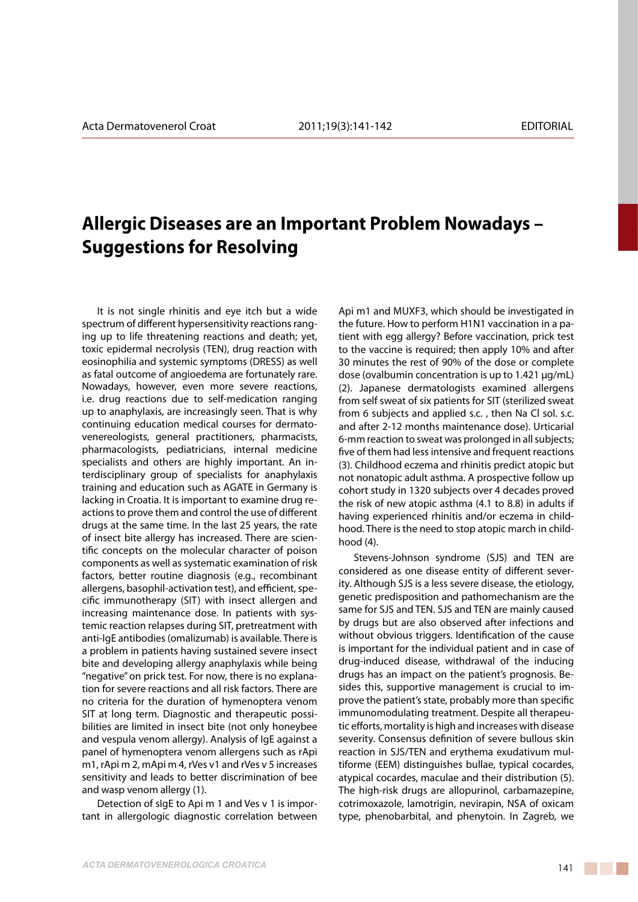## **Allergic Diseases are an Important Problem Nowadays – Suggestions for Resolving**

It is not single rhinitis and eye itch but a wide spectrum of different hypersensitivity reactions ranging up to life threatening reactions and death; yet, toxic epidermal necrolysis (TEN), drug reaction with eosinophilia and systemic symptoms (DRESS) as well as fatal outcome of angioedema are fortunately rare. Nowadays, however, even more severe reactions, i.e. drug reactions due to self-medication ranging up to anaphylaxis, are increasingly seen. That is why continuing education medical courses for dermatovenereologists, general practitioners, pharmacists, pharmacologists, pediatricians, internal medicine specialists and others are highly important. An interdisciplinary group of specialists for anaphylaxis training and education such as AGATE in Germany is lacking in Croatia. It is important to examine drug reactions to prove them and control the use of different drugs at the same time. In the last 25 years, the rate of insect bite allergy has increased. There are scientific concepts on the molecular character of poison components as well as systematic examination of risk factors, better routine diagnosis (e.g., recombinant allergens, basophil-activation test), and efficient, specific immunotherapy (SIT) with insect allergen and increasing maintenance dose. In patients with systemic reaction relapses during SIT, pretreatment with anti-IgE antibodies (omalizumab) is available. There is a problem in patients having sustained severe insect bite and developing allergy anaphylaxis while being "negative" on prick test. For now, there is no explanation for severe reactions and all risk factors. There are no criteria for the duration of hymenoptera venom SIT at long term. Diagnostic and therapeutic possibilities are limited in insect bite (not only honeybee and vespula venom allergy). Analysis of IgE against a panel of hymenoptera venom allergens such as rApi m1, rApi m 2, mApi m 4, rVes v1 and rVes v 5 increases sensitivity and leads to better discrimination of bee and wasp venom allergy (1).

Detection of sIgE to Api m 1 and Ves v 1 is important in allergologic diagnostic correlation between Api m1 and MUXF3, which should be investigated in the future. How to perform H1N1 vaccination in a patient with egg allergy? Before vaccination, prick test to the vaccine is required; then apply 10% and after 30 minutes the rest of 90% of the dose or complete dose (ovalbumin concentration is up to 1.421 μg/mL) (2). Japanese dermatologists examined allergens from self sweat of six patients for SIT (sterilized sweat from 6 subjects and applied s.c. , then Na Cl sol. s.c. and after 2-12 months maintenance dose). Urticarial 6-mm reaction to sweat was prolonged in all subjects; five of them had less intensive and frequent reactions (3). Childhood eczema and rhinitis predict atopic but not nonatopic adult asthma. A prospective follow up cohort study in 1320 subjects over 4 decades proved the risk of new atopic asthma (4.1 to 8.8) in adults if having experienced rhinitis and/or eczema in childhood. There is the need to stop atopic march in childhood (4).

Stevens-Johnson syndrome (SJS) and TEN are considered as one disease entity of different severity. Although SJS is a less severe disease, the etiology, genetic predisposition and pathomechanism are the same for SJS and TEN. SJS and TEN are mainly caused by drugs but are also observed after infections and without obvious triggers. Identification of the cause is important for the individual patient and in case of drug-induced disease, withdrawal of the inducing drugs has an impact on the patient's prognosis. Besides this, supportive management is crucial to improve the patient's state, probably more than specific immunomodulating treatment. Despite all therapeutic efforts, mortality is high and increases with disease severity. Consensus definition of severe bullous skin reaction in SJS/TEN and erythema exudativum multiforme (EEM) distinguishes bullae, typical cocardes, atypical cocardes, maculae and their distribution (5). The high-risk drugs are allopurinol, carbamazepine, cotrimoxazole, lamotrigin, nevirapin, NSA of oxicam type, phenobarbital, and phenytoin. In Zagreb, we

. . .